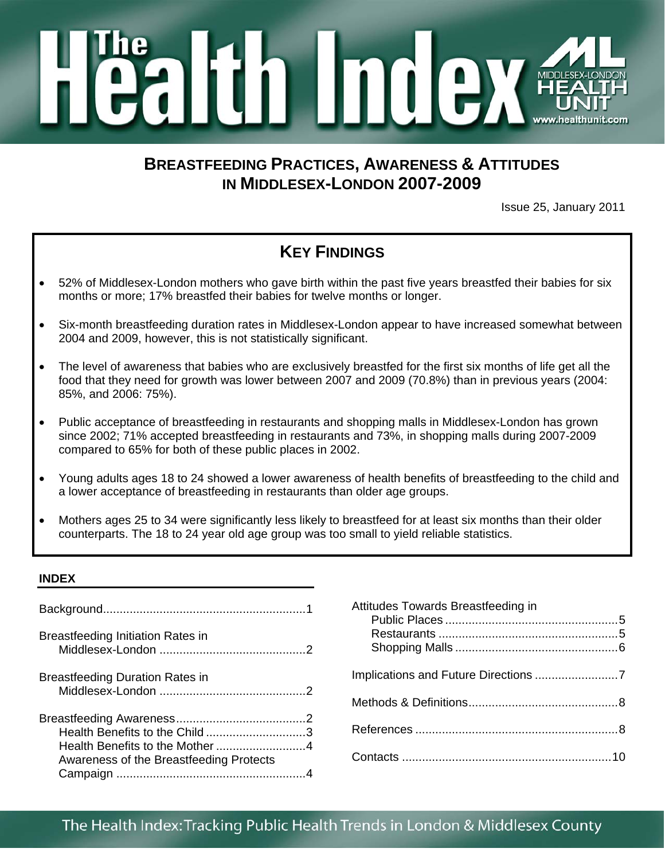

# **BREASTFEEDING PRACTICES, AWARENESS & ATTITUDES IN MIDDLESEX-LONDON 2007-2009**

Issue 25, January 2011

# **KEY FINDINGS**

- 52% of Middlesex-London mothers who gave birth within the past five years breastfed their babies for six months or more; 17% breastfed their babies for twelve months or longer.
- Six-month breastfeeding duration rates in Middlesex-London appear to have increased somewhat between 2004 and 2009, however, this is not statistically significant.
- The level of awareness that babies who are exclusively breastfed for the first six months of life get all the food that they need for growth was lower between 2007 and 2009 (70.8%) than in previous years (2004: 85%, and 2006: 75%).
- Public acceptance of breastfeeding in restaurants and shopping malls in Middlesex-London has grown since 2002; 71% accepted breastfeeding in restaurants and 73%, in shopping malls during 2007-2009 compared to 65% for both of these public places in 2002.
- Young adults ages 18 to 24 showed a lower awareness of health benefits of breastfeeding to the child and a lower acceptance of breastfeeding in restaurants than older age groups.
- Mothers ages 25 to 34 were significantly less likely to breastfeed for at least six months than their older counterparts. The 18 to 24 year old age group was too small to yield reliable statistics.

### **INDEX**

| Breastfeeding Initiation Rates in                                         |  |
|---------------------------------------------------------------------------|--|
| <b>Breastfeeding Duration Rates in</b>                                    |  |
| Health Benefits to the Child 3<br>Awareness of the Breastfeeding Protects |  |

| Attitudes Towards Breastfeeding in   |  |
|--------------------------------------|--|
|                                      |  |
| Implications and Future Directions 7 |  |
|                                      |  |
|                                      |  |
|                                      |  |
|                                      |  |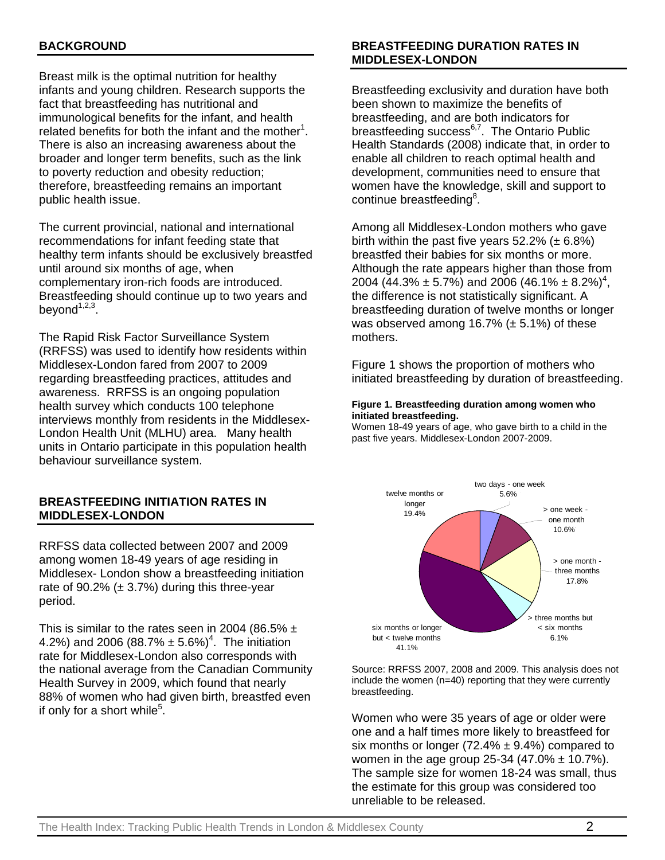# **BACKGROUND**

Breast milk is the optimal nutrition for healthy infants and young children. Research supports the fact that breastfeeding has nutritional and immunological benefits for the infant, and health related benefits for both the infant and the mother<sup>1</sup>. There is also an increasing awareness about the broader and longer term benefits, such as the link to poverty reduction and obesity reduction; therefore, breastfeeding remains an important public health issue.

The current provincial, national and international recommendations for infant feeding state that healthy term infants should be exclusively breastfed until around six months of age, when complementary iron-rich foods are introduced. Breastfeeding should continue up to two years and beyond $1,2,3$ .

The Rapid Risk Factor Surveillance System (RRFSS) was used to identify how residents within Middlesex-London fared from 2007 to 2009 regarding breastfeeding practices, attitudes and awareness. RRFSS is an ongoing population health survey which conducts 100 telephone interviews monthly from residents in the Middlesex-London Health Unit (MLHU) area. Many health units in Ontario participate in this population health behaviour surveillance system.

### **BREASTFEEDING INITIATION RATES IN MIDDLESEX-LONDON**

RRFSS data collected between 2007 and 2009 among women 18-49 years of age residing in Middlesex- London show a breastfeeding initiation rate of 90.2%  $(\pm 3.7%)$  during this three-year period.

This is similar to the rates seen in 2004 (86.5%  $\pm$ 4.2%) and 2006 (88.7%  $\pm$  5.6%)<sup>4</sup>. The initiation rate for Middlesex-London also corresponds with the national average from the Canadian Community Health Survey in 2009, which found that nearly 88% of women who had given birth, breastfed even if only for a short while<sup>5</sup>.

# The Health Index: Tracking Public Health Trends in London & Middlesex County  $2$

# **BREASTFEEDING DURATION RATES IN MIDDLESEX-LONDON**

Breastfeeding exclusivity and duration have both been shown to maximize the benefits of breastfeeding, and are both indicators for breastfeeding success<sup>6,7</sup>. The Ontario Public Health Standards (2008) indicate that, in order to enable all children to reach optimal health and development, communities need to ensure that women have the knowledge, skill and support to continue breastfeeding<sup>8</sup>.

Among all Middlesex-London mothers who gave birth within the past five years  $52.2\%$  ( $\pm 6.8\%$ ) breastfed their babies for six months or more. Although the rate appears higher than those from 2004 (44.3%  $\pm$  5.7%) and 2006 (46.1%  $\pm$  8.2%)<sup>4</sup>, the difference is not statistically significant. A breastfeeding duration of twelve months or longer was observed among 16.7%  $(\pm 5.1%)$  of these mothers.

Figure 1 shows the proportion of mothers who initiated breastfeeding by duration of breastfeeding.

#### **Figure 1. Breastfeeding duration among women who initiated breastfeeding.**

Women 18-49 years of age, who gave birth to a child in the past five years. Middlesex-London 2007-2009.



Source: RRFSS 2007, 2008 and 2009. This analysis does not include the women (n=40) reporting that they were currently breastfeeding.

Women who were 35 years of age or older were one and a half times more likely to breastfeed for six months or longer (72.4%  $\pm$  9.4%) compared to women in the age group 25-34  $(47.0\% \pm 10.7\%)$ . The sample size for women 18-24 was small, thus the estimate for this group was considered too unreliable to be released.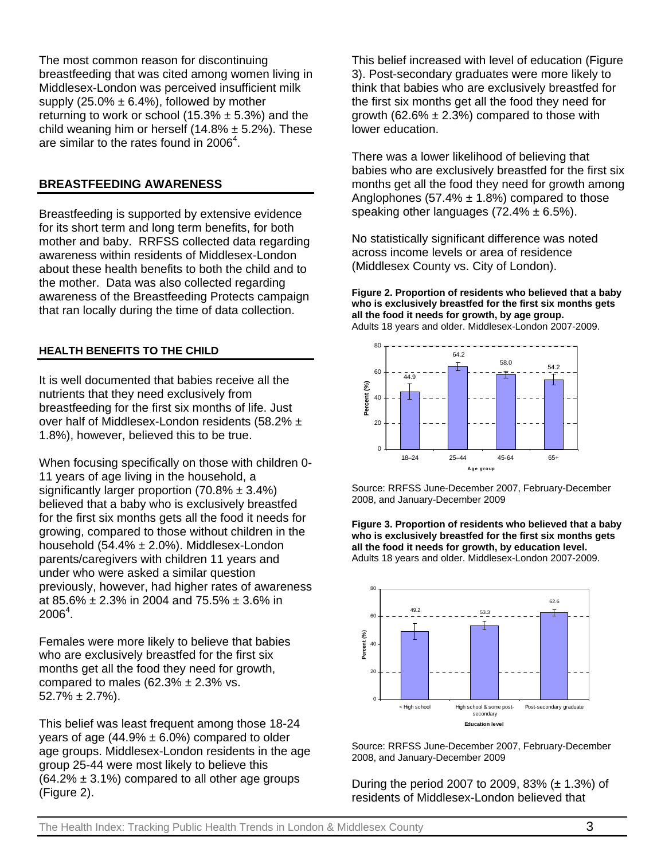The most common reason for discontinuing breastfeeding that was cited among women living in Middlesex-London was perceived insufficient milk supply  $(25.0\% \pm 6.4\%)$ , followed by mother returning to work or school (15.3%  $\pm$  5.3%) and the child weaning him or herself (14.8%  $\pm$  5.2%). These are similar to the rates found in 2006 $4$ .

# **BREASTFEEDING AWARENESS**

Breastfeeding is supported by extensive evidence for its short term and long term benefits, for both mother and baby. RRFSS collected data regarding awareness within residents of Middlesex-London about these health benefits to both the child and to the mother. Data was also collected regarding awareness of the Breastfeeding Protects campaign that ran locally during the time of data collection.

# **HEALTH BENEFITS TO THE CHILD**

It is well documented that babies receive all the nutrients that they need exclusively from breastfeeding for the first six months of life. Just over half of Middlesex-London residents (58.2% ± 1.8%), however, believed this to be true.

When focusing specifically on those with children 0- 11 years of age living in the household, a significantly larger proportion  $(70.8\% \pm 3.4\%)$ believed that a baby who is exclusively breastfed for the first six months gets all the food it needs for growing, compared to those without children in the household  $(54.4\% \pm 2.0\%)$ . Middlesex-London parents/caregivers with children 11 years and under who were asked a similar question previously, however, had higher rates of awareness at 85.6%  $\pm$  2.3% in 2004 and 75.5%  $\pm$  3.6% in  $2006^4$ .

Females were more likely to believe that babies who are exclusively breastfed for the first six months get all the food they need for growth, compared to males  $(62.3\% \pm 2.3\% \text{ vs.})$  $52.7\% \pm 2.7\%$ ).

This belief was least frequent among those 18-24 years of age (44.9%  $\pm$  6.0%) compared to older age groups. Middlesex-London residents in the age group 25-44 were most likely to believe this  $(64.2\% \pm 3.1\%)$  compared to all other age groups (Figure 2).

This belief increased with level of education (Figure 3). Post-secondary graduates were more likely to think that babies who are exclusively breastfed for the first six months get all the food they need for growth (62.6%  $\pm$  2.3%) compared to those with lower education.

There was a lower likelihood of believing that babies who are exclusively breastfed for the first six months get all the food they need for growth among Anglophones (57.4%  $\pm$  1.8%) compared to those speaking other languages  $(72.4\% \pm 6.5\%).$ 

No statistically significant difference was noted across income levels or area of residence (Middlesex County vs. City of London).

**Figure 2. Proportion of residents who believed that a baby who is exclusively breastfed for the first six months gets all the food it needs for growth, by age group.**  Adults 18 years and older. Middlesex-London 2007-2009.



Source: RRFSS June-December 2007, February-December 2008, and January-December 2009

**Figure 3. Proportion of residents who believed that a baby who is exclusively breastfed for the first six months gets all the food it needs for growth, by education level.**  Adults 18 years and older. Middlesex-London 2007-2009.



Source: RRFSS June-December 2007, February-December 2008, and January-December 2009

During the period 2007 to 2009, 83% ( $\pm$  1.3%) of residents of Middlesex-London believed that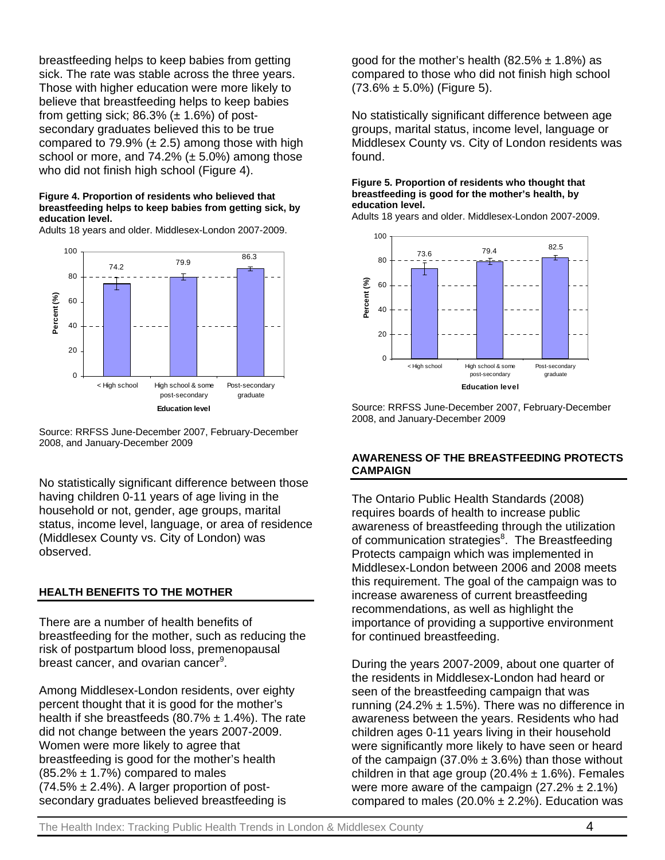breastfeeding helps to keep babies from getting sick. The rate was stable across the three years. Those with higher education were more likely to believe that breastfeeding helps to keep babies from getting sick;  $86.3\%$  ( $\pm$  1.6%) of postsecondary graduates believed this to be true compared to 79.9%  $(\pm 2.5)$  among those with high school or more, and  $74.2\%$  ( $\pm$  5.0%) among those who did not finish high school (Figure 4).

#### **Figure 4. Proportion of residents who believed that breastfeeding helps to keep babies from getting sick, by education level.**

Adults 18 years and older. Middlesex-London 2007-2009.



Source: RRFSS June-December 2007, February-December 2008, and January-December 2009

No statistically significant difference between those having children 0-11 years of age living in the household or not, gender, age groups, marital status, income level, language, or area of residence (Middlesex County vs. City of London) was observed.

# **HEALTH BENEFITS TO THE MOTHER**

There are a number of health benefits of breastfeeding for the mother, such as reducing the risk of postpartum blood loss, premenopausal breast cancer, and ovarian cancer<sup>9</sup>.

Among Middlesex-London residents, over eighty percent thought that it is good for the mother's health if she breastfeeds (80.7%  $\pm$  1.4%). The rate did not change between the years 2007-2009. Women were more likely to agree that breastfeeding is good for the mother's health  $(85.2\% \pm 1.7\%)$  compared to males  $(74.5\% \pm 2.4\%)$ . A larger proportion of postsecondary graduates believed breastfeeding is

good for the mother's health  $(82.5\% \pm 1.8\%)$  as compared to those who did not finish high school  $(73.6\% \pm 5.0\%)$  (Figure 5).

No statistically significant difference between age groups, marital status, income level, language or Middlesex County vs. City of London residents was found.

#### **Figure 5. Proportion of residents who thought that breastfeeding is good for the mother's health, by education level.**

Adults 18 years and older. Middlesex-London 2007-2009.



Source: RRFSS June-December 2007, February-December 2008, and January-December 2009

### **AWARENESS OF THE BREASTFEEDING PROTECTS CAMPAIGN**

The Ontario Public Health Standards (2008) requires boards of health to increase public awareness of breastfeeding through the utilization of communication strategies<sup>8</sup>. The Breastfeeding Protects campaign which was implemented in Middlesex-London between 2006 and 2008 meets this requirement. The goal of the campaign was to increase awareness of current breastfeeding recommendations, as well as highlight the importance of providing a supportive environment for continued breastfeeding.

During the years 2007-2009, about one quarter of the residents in Middlesex-London had heard or seen of the breastfeeding campaign that was running (24.2%  $\pm$  1.5%). There was no difference in awareness between the years. Residents who had children ages 0-11 years living in their household were significantly more likely to have seen or heard of the campaign  $(37.0\% \pm 3.6\%)$  than those without children in that age group (20.4%  $\pm$  1.6%). Females were more aware of the campaign  $(27.2\% \pm 2.1\%)$ compared to males (20.0%  $\pm$  2.2%). Education was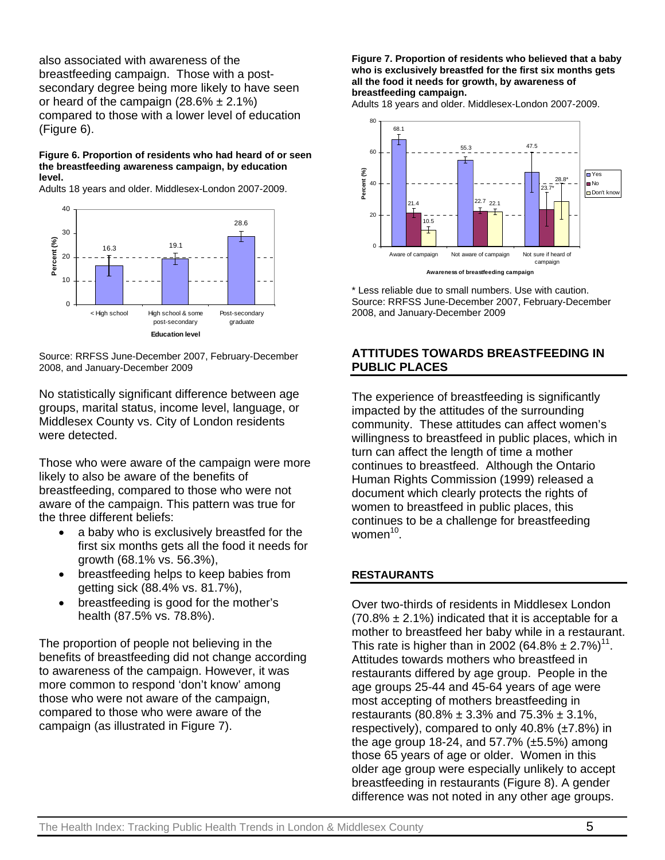also associated with awareness of the breastfeeding campaign. Those with a postsecondary degree being more likely to have seen or heard of the campaign  $(28.6\% \pm 2.1\%)$ compared to those with a lower level of education (Figure 6).

#### **Figure 6. Proportion of residents who had heard of or seen the breastfeeding awareness campaign, by education level.**

Adults 18 years and older. Middlesex-London 2007-2009.



Source: RRFSS June-December 2007, February-December 2008, and January-December 2009

No statistically significant difference between age groups, marital status, income level, language, or Middlesex County vs. City of London residents were detected.

Those who were aware of the campaign were more likely to also be aware of the benefits of breastfeeding, compared to those who were not aware of the campaign. This pattern was true for the three different beliefs:

- a baby who is exclusively breastfed for the first six months gets all the food it needs for growth (68.1% vs. 56.3%),
- breastfeeding helps to keep babies from getting sick (88.4% vs. 81.7%),
- breastfeeding is good for the mother's health (87.5% vs. 78.8%).

The proportion of people not believing in the benefits of breastfeeding did not change according to awareness of the campaign. However, it was more common to respond 'don't know' among those who were not aware of the campaign, compared to those who were aware of the campaign (as illustrated in Figure 7).

**Figure 7. Proportion of residents who believed that a baby who is exclusively breastfed for the first six months gets all the food it needs for growth, by awareness of breastfeeding campaign.** 

Adults 18 years and older. Middlesex-London 2007-2009.



\* Less reliable due to small numbers. Use with caution. Source: RRFSS June-December 2007, February-December 2008, and January-December 2009

### **ATTITUDES TOWARDS BREASTFEEDING IN PUBLIC PLACES**

The experience of breastfeeding is significantly impacted by the attitudes of the surrounding community. These attitudes can affect women's willingness to breastfeed in public places, which in turn can affect the length of time a mother continues to breastfeed. Although the Ontario Human Rights Commission (1999) released a document which clearly protects the rights of women to breastfeed in public places, this continues to be a challenge for breastfeeding women $10$ .

# **RESTAURANTS**

Over two-thirds of residents in Middlesex London  $(70.8\% \pm 2.1\%)$  indicated that it is acceptable for a mother to breastfeed her baby while in a restaurant. This rate is higher than in 2002 (64.8%  $\pm 2.7\%$ )<sup>11</sup>. Attitudes towards mothers who breastfeed in restaurants differed by age group. People in the age groups 25-44 and 45-64 years of age were most accepting of mothers breastfeeding in restaurants (80.8%  $\pm$  3.3% and 75.3%  $\pm$  3.1%, respectively), compared to only  $40.8\%$  ( $\pm7.8\%$ ) in the age group 18-24, and  $57.7\%$  ( $\pm 5.5\%$ ) among those 65 years of age or older. Women in this older age group were especially unlikely to accept breastfeeding in restaurants (Figure 8). A gender difference was not noted in any other age groups.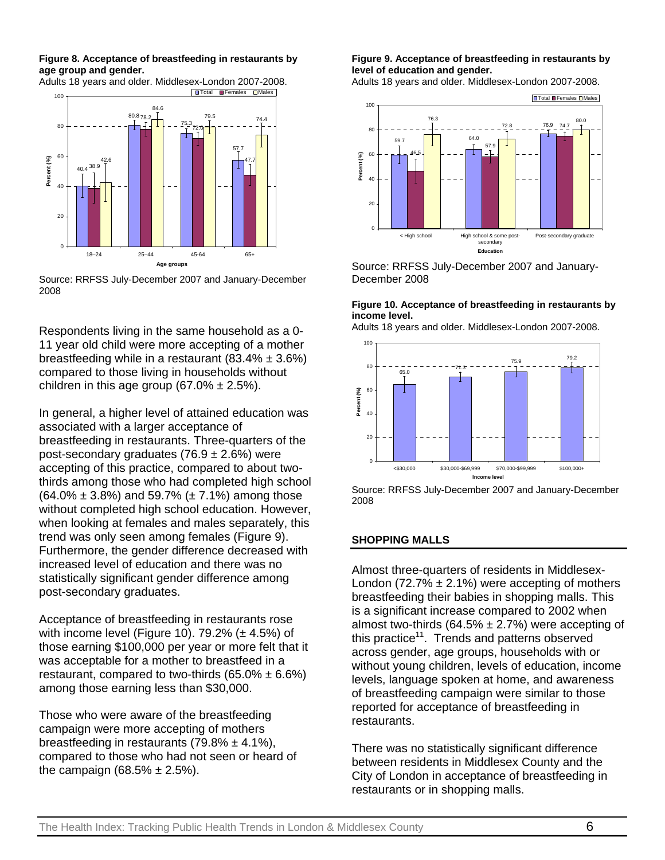**Figure 8. Acceptance of breastfeeding in restaurants by age group and gender.** 



Source: RRFSS July-December 2007 and January-December 2008

Respondents living in the same household as a 0- 11 year old child were more accepting of a mother breastfeeding while in a restaurant  $(83.4\% \pm 3.6\%)$ compared to those living in households without children in this age group (67.0%  $\pm$  2.5%).

In general, a higher level of attained education was associated with a larger acceptance of breastfeeding in restaurants. Three-quarters of the post-secondary graduates (76.9  $\pm$  2.6%) were accepting of this practice, compared to about twothirds among those who had completed high school  $(64.0\% \pm 3.8\%)$  and 59.7% ( $\pm 7.1\%$ ) among those without completed high school education. However, when looking at females and males separately, this trend was only seen among females (Figure 9). Furthermore, the gender difference decreased with increased level of education and there was no statistically significant gender difference among post-secondary graduates.

Acceptance of breastfeeding in restaurants rose with income level (Figure 10).  $79.2\%$  ( $\pm$  4.5%) of those earning \$100,000 per year or more felt that it was acceptable for a mother to breastfeed in a restaurant, compared to two-thirds  $(65.0\% \pm 6.6\%)$ among those earning less than \$30,000.

Those who were aware of the breastfeeding campaign were more accepting of mothers breastfeeding in restaurants  $(79.8\% \pm 4.1\%)$ . compared to those who had not seen or heard of the campaign  $(68.5\% \pm 2.5\%).$ 

**Figure 9. Acceptance of breastfeeding in restaurants by level of education and gender.** 

Adults 18 years and older. Middlesex-London 2007-2008.



Source: RRFSS July-December 2007 and January-December 2008

#### **Figure 10. Acceptance of breastfeeding in restaurants by income level.**

Adults 18 years and older. Middlesex-London 2007-2008.



Source: RRFSS July-December 2007 and January-December 2008

#### **SHOPPING MALLS**

Almost three-quarters of residents in Middlesex-London (72.7%  $\pm$  2.1%) were accepting of mothers breastfeeding their babies in shopping malls. This is a significant increase compared to 2002 when almost two-thirds (64.5%  $\pm$  2.7%) were accepting of this practice<sup>11</sup>. Trends and patterns observed across gender, age groups, households with or without young children, levels of education, income levels, language spoken at home, and awareness of breastfeeding campaign were similar to those reported for acceptance of breastfeeding in restaurants.

There was no statistically significant difference between residents in Middlesex County and the City of London in acceptance of breastfeeding in restaurants or in shopping malls.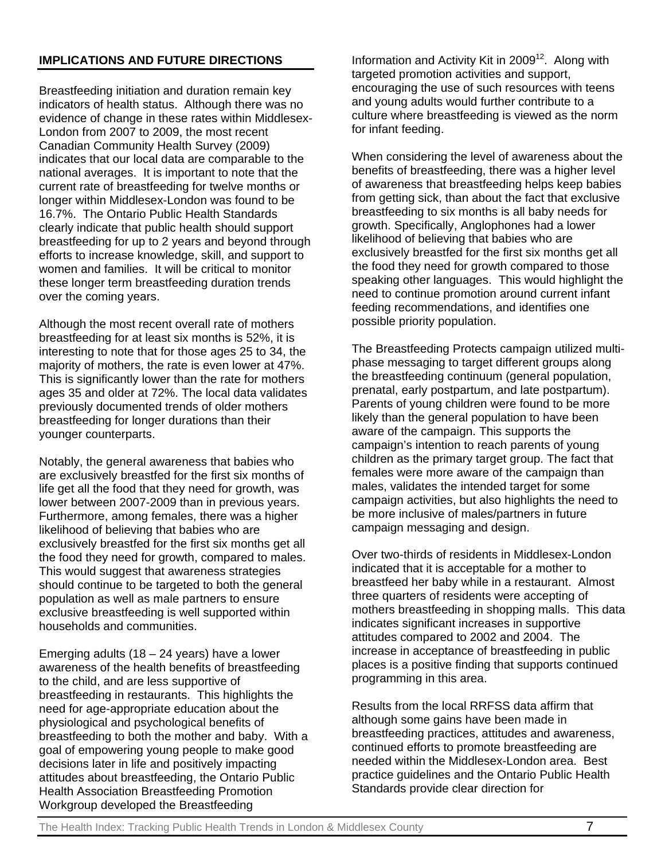# **IMPLICATIONS AND FUTURE DIRECTIONS**

Breastfeeding initiation and duration remain key indicators of health status. Although there was no evidence of change in these rates within Middlesex-London from 2007 to 2009, the most recent Canadian Community Health Survey (2009) indicates that our local data are comparable to the national averages. It is important to note that the current rate of breastfeeding for twelve months or longer within Middlesex-London was found to be 16.7%. The Ontario Public Health Standards clearly indicate that public health should support breastfeeding for up to 2 years and beyond through efforts to increase knowledge, skill, and support to women and families. It will be critical to monitor these longer term breastfeeding duration trends over the coming years.

Although the most recent overall rate of mothers breastfeeding for at least six months is 52%, it is interesting to note that for those ages 25 to 34, the majority of mothers, the rate is even lower at 47%. This is significantly lower than the rate for mothers ages 35 and older at 72%. The local data validates previously documented trends of older mothers breastfeeding for longer durations than their younger counterparts.

Notably, the general awareness that babies who are exclusively breastfed for the first six months of life get all the food that they need for growth, was lower between 2007-2009 than in previous years. Furthermore, among females, there was a higher likelihood of believing that babies who are exclusively breastfed for the first six months get all the food they need for growth, compared to males. This would suggest that awareness strategies should continue to be targeted to both the general population as well as male partners to ensure exclusive breastfeeding is well supported within households and communities.

Emerging adults (18 – 24 years) have a lower awareness of the health benefits of breastfeeding to the child, and are less supportive of breastfeeding in restaurants. This highlights the need for age-appropriate education about the physiological and psychological benefits of breastfeeding to both the mother and baby. With a goal of empowering young people to make good decisions later in life and positively impacting attitudes about breastfeeding, the Ontario Public Health Association Breastfeeding Promotion Workgroup developed the Breastfeeding

Information and Activity Kit in  $2009<sup>12</sup>$ . Along with targeted promotion activities and support, encouraging the use of such resources with teens and young adults would further contribute to a culture where breastfeeding is viewed as the norm for infant feeding.

When considering the level of awareness about the benefits of breastfeeding, there was a higher level of awareness that breastfeeding helps keep babies from getting sick, than about the fact that exclusive breastfeeding to six months is all baby needs for growth. Specifically, Anglophones had a lower likelihood of believing that babies who are exclusively breastfed for the first six months get all the food they need for growth compared to those speaking other languages. This would highlight the need to continue promotion around current infant feeding recommendations, and identifies one possible priority population.

The Breastfeeding Protects campaign utilized multiphase messaging to target different groups along the breastfeeding continuum (general population, prenatal, early postpartum, and late postpartum). Parents of young children were found to be more likely than the general population to have been aware of the campaign. This supports the campaign's intention to reach parents of young children as the primary target group. The fact that females were more aware of the campaign than males, validates the intended target for some campaign activities, but also highlights the need to be more inclusive of males/partners in future campaign messaging and design.

Over two-thirds of residents in Middlesex-London indicated that it is acceptable for a mother to breastfeed her baby while in a restaurant. Almost three quarters of residents were accepting of mothers breastfeeding in shopping malls. This data indicates significant increases in supportive attitudes compared to 2002 and 2004. The increase in acceptance of breastfeeding in public places is a positive finding that supports continued programming in this area.

Results from the local RRFSS data affirm that although some gains have been made in breastfeeding practices, attitudes and awareness, continued efforts to promote breastfeeding are needed within the Middlesex-London area. Best practice guidelines and the Ontario Public Health Standards provide clear direction for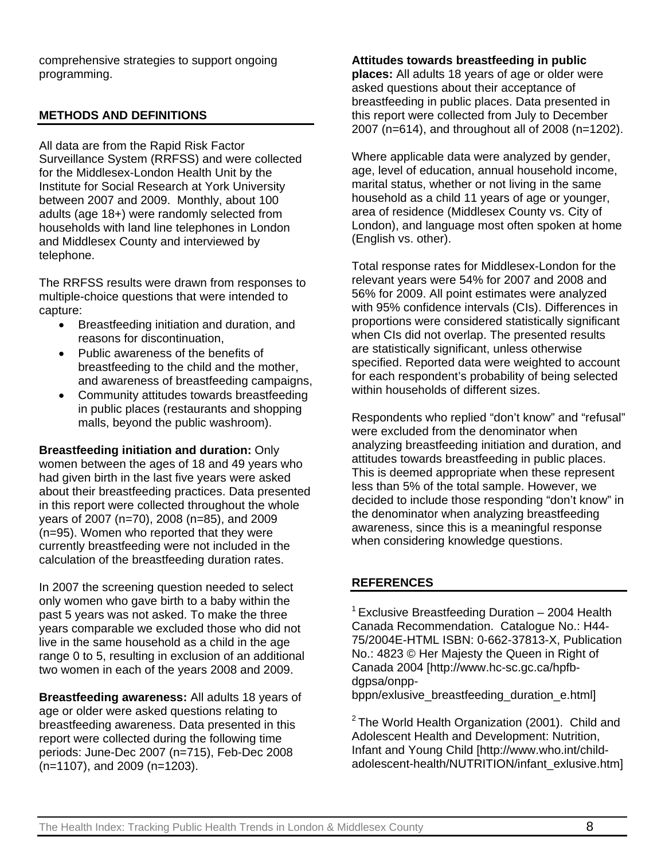comprehensive strategies to support ongoing programming.

# **METHODS AND DEFINITIONS**

All data are from the Rapid Risk Factor Surveillance System (RRFSS) and were collected for the Middlesex-London Health Unit by the Institute for Social Research at York University between 2007 and 2009. Monthly, about 100 adults (age 18+) were randomly selected from households with land line telephones in London and Middlesex County and interviewed by telephone.

The RRFSS results were drawn from responses to multiple-choice questions that were intended to capture:

- Breastfeeding initiation and duration, and reasons for discontinuation,
- Public awareness of the benefits of breastfeeding to the child and the mother, and awareness of breastfeeding campaigns,
- Community attitudes towards breastfeeding in public places (restaurants and shopping malls, beyond the public washroom).

**Breastfeeding initiation and duration:** Only women between the ages of 18 and 49 years who had given birth in the last five years were asked about their breastfeeding practices. Data presented in this report were collected throughout the whole years of 2007 (n=70), 2008 (n=85), and 2009 (n=95). Women who reported that they were currently breastfeeding were not included in the calculation of the breastfeeding duration rates.

In 2007 the screening question needed to select only women who gave birth to a baby within the past 5 years was not asked. To make the three years comparable we excluded those who did not live in the same household as a child in the age range 0 to 5, resulting in exclusion of an additional two women in each of the years 2008 and 2009.

**Breastfeeding awareness:** All adults 18 years of age or older were asked questions relating to breastfeeding awareness. Data presented in this report were collected during the following time periods: June-Dec 2007 (n=715), Feb-Dec 2008 (n=1107), and 2009 (n=1203).

### **Attitudes towards breastfeeding in public**

**places:** All adults 18 years of age or older were asked questions about their acceptance of breastfeeding in public places. Data presented in this report were collected from July to December 2007 (n=614), and throughout all of 2008 (n=1202).

Where applicable data were analyzed by gender, age, level of education, annual household income, marital status, whether or not living in the same household as a child 11 years of age or younger, area of residence (Middlesex County vs. City of London), and language most often spoken at home (English vs. other).

Total response rates for Middlesex-London for the relevant years were 54% for 2007 and 2008 and 56% for 2009. All point estimates were analyzed with 95% confidence intervals (CIs). Differences in proportions were considered statistically significant when CIs did not overlap. The presented results are statistically significant, unless otherwise specified. Reported data were weighted to account for each respondent's probability of being selected within households of different sizes.

Respondents who replied "don't know" and "refusal" were excluded from the denominator when analyzing breastfeeding initiation and duration, and attitudes towards breastfeeding in public places. This is deemed appropriate when these represent less than 5% of the total sample. However, we decided to include those responding "don't know" in the denominator when analyzing breastfeeding awareness, since this is a meaningful response when considering knowledge questions.

# **REFERENCES**

 $1$  Exclusive Breastfeeding Duration – 2004 Health Canada Recommendation. Catalogue No.: H44- 75/2004E-HTML ISBN: 0-662-37813-X, Publication No.: 4823 © Her Maiesty the Queen in Right of Canada 2004 [http://www.hc-sc.gc.ca/hpfbdgpsa/onpp-

bppn/exlusive\_breastfeeding\_duration\_e.html]

 $2$  The World Health Organization (2001). Child and Adolescent Health and Development: Nutrition, Infant and Young Child [http://www.who.int/childadolescent-health/NUTRITION/infant\_exlusive.htm]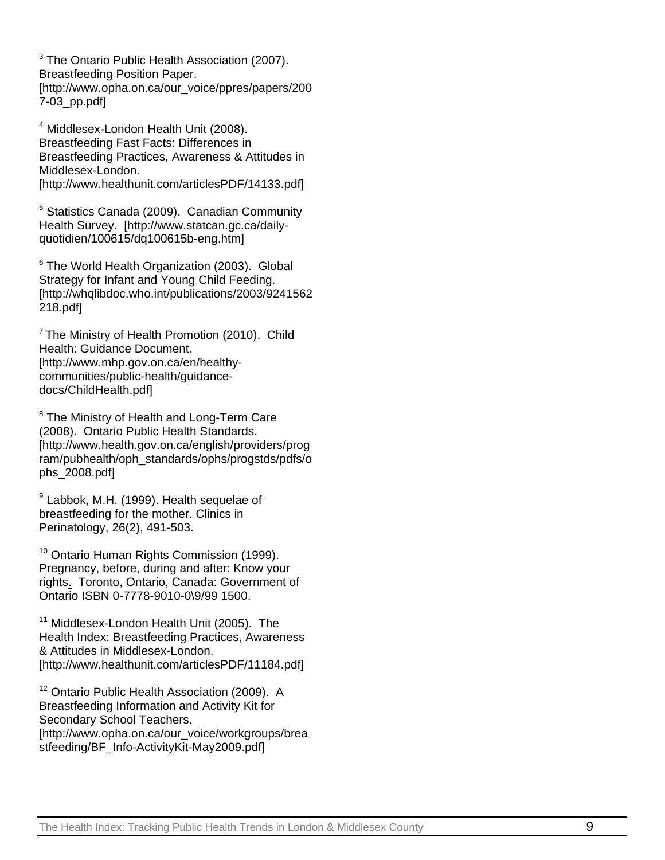$3$  The Ontario Public Health Association (2007). Breastfeeding Position Paper. [http://www.opha.on.ca/our\_voice/ppres/papers/200 7-03\_pp.pdf]

4 Middlesex-London Health Unit (2008). Breastfeeding Fast Facts: Differences in Breastfeeding Practices, Awareness & Attitudes in Middlesex-London. [http://www.healthunit.com/articlesPDF/14133.pdf]

<sup>5</sup> Statistics Canada (2009). Canadian Community Health Survey. [http://www.statcan.gc.ca/dailyquotidien/100615/dq100615b-eng.htm]

<sup>6</sup> The World Health Organization (2003). Global Strategy for Infant and Young Child Feeding. [http://whqlibdoc.who.int/publications/2003/9241562 218.pdf]

 $7$  The Ministry of Health Promotion (2010). Child Health: Guidance Document. [http://www.mhp.gov.on.ca/en/healthycommunities/public-health/guidancedocs/ChildHealth.pdf]

<sup>8</sup> The Ministry of Health and Long-Term Care (2008). Ontario Public Health Standards. [http://www.health.gov.on.ca/english/providers/prog ram/pubhealth/oph\_standards/ophs/progstds/pdfs/o phs\_2008.pdf]

<sup>9</sup> Labbok, M.H. (1999). Health sequelae of breastfeeding for the mother. Clinics in Perinatology, 26(2), 491-503.

<sup>10</sup> Ontario Human Rights Commission (1999). Pregnancy, before, during and after: Know your rights. Toronto, Ontario, Canada: Government of Ontario ISBN 0-7778-9010-0\9/99 1500.

<sup>11</sup> Middlesex-London Health Unit (2005). The Health Index: Breastfeeding Practices, Awareness & Attitudes in Middlesex-London. [http://www.healthunit.com/articlesPDF/11184.pdf]

<sup>12</sup> Ontario Public Health Association (2009). A Breastfeeding Information and Activity Kit for Secondary School Teachers. [http://www.opha.on.ca/our\_voice/workgroups/brea stfeeding/BF\_Info-ActivityKit-May2009.pdf]